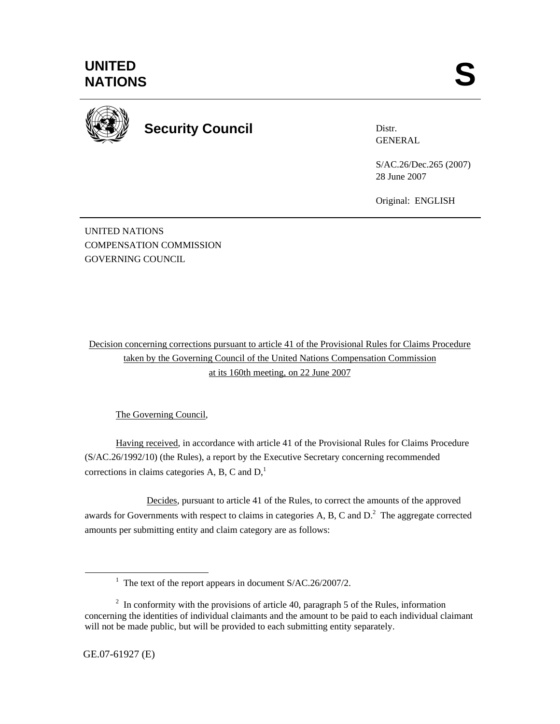

**Security Council** 

Distr. **GENERAL** 

S/AC.26/Dec.265 (2007) 28 June 2007

Original: ENGLISH

UNITED NATIONS COMPENSATION COMMISSION GOVERNING COUNCIL

Decision concerning corrections pursuant to article 41 of the Provisional Rules for Claims Procedure taken by the Governing Council of the United Nations Compensation Commission at its 160th meeting, on 22 June 2007

The Governing Council,

Having received, in accordance with article 41 of the Provisional Rules for Claims Procedure (S/AC.26/1992/10) (the Rules), a report by the Executive Secretary concerning recommended corrections in claims categories A, B, C and  $D<sub>1</sub><sup>1</sup>$ 

 Decides, pursuant to article 41 of the Rules, to correct the amounts of the approved awards for Governments with respect to claims in categories A, B, C and  $D<sup>2</sup>$ . The aggregate corrected amounts per submitting entity and claim category are as follows:

 $\overline{\phantom{a}}$ <sup>1</sup> The text of the report appears in document  $S/AC.26/2007/2$ .

 $2 \text{ In arbitrary with the provisions of article } 40$ , paragraph 5 of the Rules, information concerning the identities of individual claimants and the amount to be paid to each individual claimant will not be made public, but will be provided to each submitting entity separately.